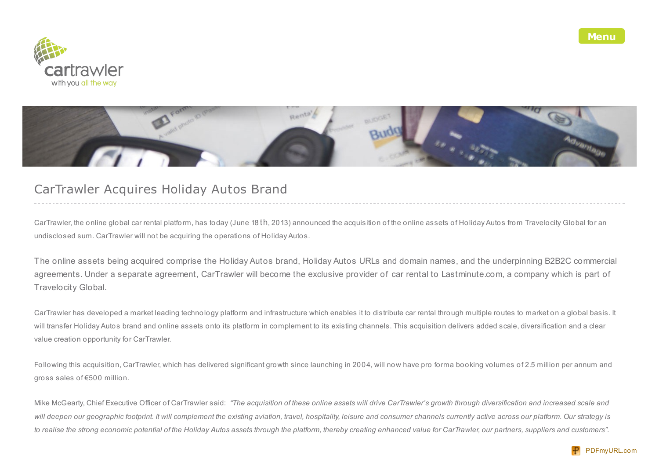



## CarTrawler Acquires Holiday Autos Brand

CarTrawler, the online global car rental platform, has today (June 18 th, 2013) announced the acquisition of the online assets of Holiday Autos from Travelocity Global for an undisclosed sum. CarTrawler will not be acquiring the operations of Holiday Autos.

The online assets being acquired comprise the Holiday Autos brand, Holiday Autos URLs and domain names, and the underpinning B2B2C commercial agreements. Under a separate agreement, CarTrawler will become the exclusive provider of car rental to Lastminute.com, a company which is part of Travelocity Global.

CarTrawler has developed a market leading technology platform and infrastructure which enables it to distribute car rental through multiple routes to market on a global basis. It will transfer Holiday Autos brand and online assets onto its platform in complement to its existing channels. This acquisition delivers added scale, diversification and a clear value creation opportunity for CarTrawler.

Following this acquisition, CarTrawler, which has delivered significant growth since launching in 2004, will now have pro forma booking volumes of 2.5 million per annum and gross sales of €500 million.

Mike McGearty, Chief Executive Officer of CarTrawler said: "The acquisition of these online assets will drive CarTrawler's growth through diversification and increased scale and will deepen our geographic footprint. It will complement the existing aviation, travel, hospitality, leisure and consumer channels currently active across our platform. Our strategy is to realise the strong economic potential of the Holiday Autos assets through the platform, thereby creating enhanced value for CarTrawler, our partners, suppliers and customers".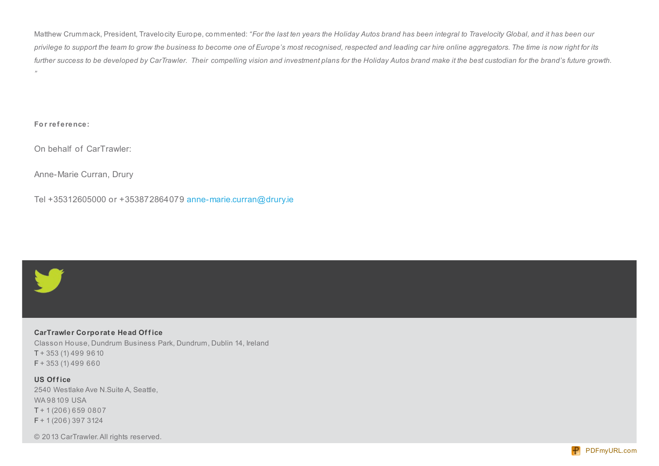Matthew Crummack, President, Travelocity Europe, commented: "For the last ten years the Holiday Autos brand has been integral to Travelocity Global, and it has been our privilege to support the team to grow the business to become one of Europe's most recognised, respected and leading car hire online aggregators. The time is now right for its further success to be developed by CarTrawler. Their compelling vision and investment plans for the Holiday Autos brand make it the best custodian for the brand's future growth. *"*

**For ref erence:**

On behalf of CarTrawler:

Anne-Marie Curran, Drury

Tel +35312605000 or +353872864079 [anne-marie.curran@drury.ie](mailto:anne-marie.curran@drury.ie)



**CarTrawler Corporat e Head Of f ice** Classon House, Dundrum Business Park, Dundrum, Dublin 14, Ireland T + 353 (1) 499 9610  $F + 353(1)$  499 660

**US Of f ice** 2540 Westlake Ave N.Suite A, Seattle, WA 98109 USA T + 1 (206) 659 0807 F + 1 (206) 397 3124

© 2013 CarTrawler.All rights reserved.